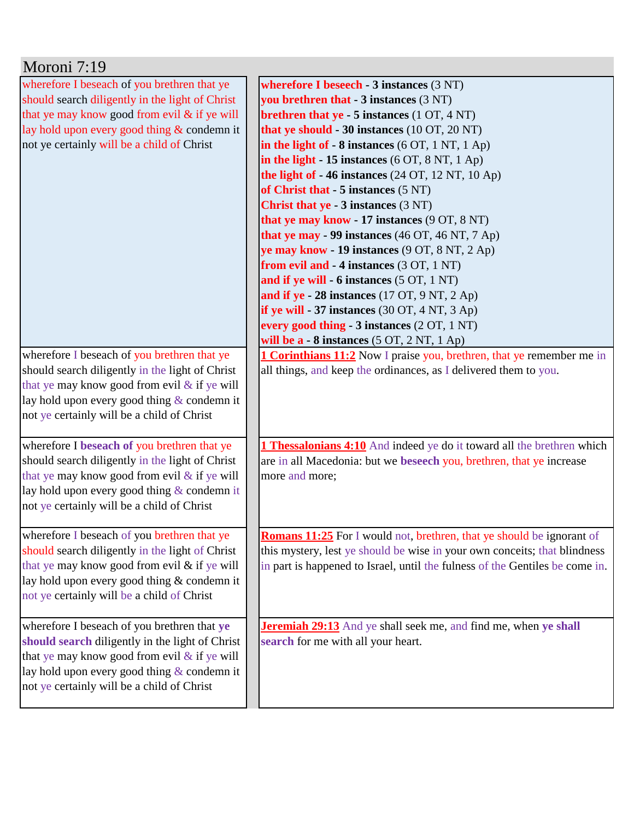| Moroni 7:19                                                                                                                                                                                                                                   |                                                                                                                                                                                                                                                                                                                                                                                                                                                                                                                                                                                                                                                                                                                                                                                                                                                                                                                           |
|-----------------------------------------------------------------------------------------------------------------------------------------------------------------------------------------------------------------------------------------------|---------------------------------------------------------------------------------------------------------------------------------------------------------------------------------------------------------------------------------------------------------------------------------------------------------------------------------------------------------------------------------------------------------------------------------------------------------------------------------------------------------------------------------------------------------------------------------------------------------------------------------------------------------------------------------------------------------------------------------------------------------------------------------------------------------------------------------------------------------------------------------------------------------------------------|
| wherefore I beseach of you brethren that ye<br>should search diligently in the light of Christ<br>that ye may know good from evil & if ye will<br>lay hold upon every good thing $&$ condemn it<br>not ye certainly will be a child of Christ | wherefore I beseech - $3$ instances $(3 \text{ NT})$<br>you brethren that - 3 instances (3 NT)<br>brethren that ye - 5 instances (1 OT, 4 NT)<br>that ye should - 30 instances (10 OT, 20 NT)<br>in the light of $-8$ instances (6 OT, 1 NT, 1 Ap)<br>in the light $-15$ instances (6 OT, 8 NT, 1 Ap)<br>the light of - 46 instances (24 OT, 12 NT, 10 Ap)<br>of Christ that - 5 instances (5 NT)<br><b>Christ that ye - 3 instances (3 NT)</b><br>that ye may know - 17 instances (9 OT, 8 NT)<br>that ye may - 99 instances (46 OT, 46 NT, 7 Ap)<br>ye may know - 19 instances (9 OT, 8 NT, 2 Ap)<br>from evil and - 4 instances (3 OT, 1 NT)<br>and if ye will - 6 instances (5 OT, 1 NT)<br>and if ye - 28 instances $(17 \text{ OT}, 9 \text{ NT}, 2 \text{ Ap})$<br>if ye will - 37 instances $(30 OT, 4 N T, 3 Ap)$<br>every good thing - 3 instances (2 OT, 1 NT)<br>will be $a - 8$ instances (5 OT, 2 NT, 1 Ap) |
| wherefore I beseach of you brethren that ye<br>should search diligently in the light of Christ<br>that ye may know good from evil & if ye will<br>lay hold upon every good thing & condemn it<br>not ye certainly will be a child of Christ   | <b>1 Corinthians 11:2</b> Now I praise you, brethren, that ye remember me in<br>all things, and keep the ordinances, as I delivered them to you.                                                                                                                                                                                                                                                                                                                                                                                                                                                                                                                                                                                                                                                                                                                                                                          |
| wherefore I beseach of you brethren that ye<br>should search diligently in the light of Christ<br>that ye may know good from evil & if ye will<br>lay hold upon every good thing & condemn it<br>not ye certainly will be a child of Christ   | <b>1 Thessalonians 4:10</b> And indeed ye do it toward all the brethren which<br>are in all Macedonia: but we beseech you, brethren, that ye increase<br>more and more;                                                                                                                                                                                                                                                                                                                                                                                                                                                                                                                                                                                                                                                                                                                                                   |
| wherefore I beseach of you brethren that ye<br>should search diligently in the light of Christ<br>that ye may know good from evil & if ye will<br>lay hold upon every good thing & condemn it<br>not ye certainly will be a child of Christ   | <b>Romans 11:25</b> For I would not, brethren, that ye should be ignorant of<br>this mystery, lest ye should be wise in your own conceits; that blindness<br>in part is happened to Israel, until the fulness of the Gentiles be come in.                                                                                                                                                                                                                                                                                                                                                                                                                                                                                                                                                                                                                                                                                 |
| wherefore I beseach of you brethren that ye<br>should search diligently in the light of Christ<br>that ye may know good from evil & if ye will<br>lay hold upon every good thing & condemn it<br>not ye certainly will be a child of Christ   | <b>Jeremiah 29:13</b> And ye shall seek me, and find me, when ye shall<br>search for me with all your heart.                                                                                                                                                                                                                                                                                                                                                                                                                                                                                                                                                                                                                                                                                                                                                                                                              |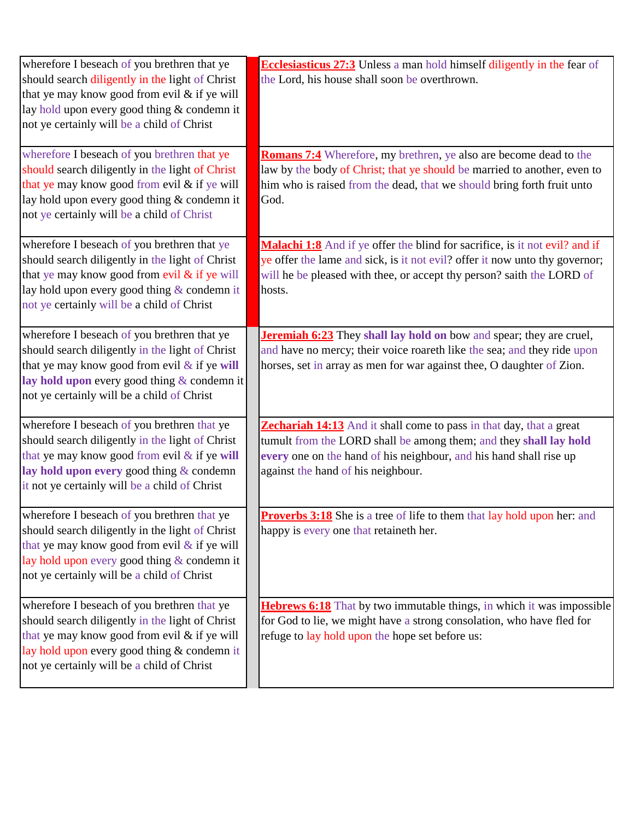| wherefore I beseach of you brethren that ye<br>should search diligently in the light of Christ<br>that ye may know good from evil & if ye will<br>lay hold upon every good thing & condemn it<br>not ye certainly will be a child of Christ   | <b>Ecclesiasticus 27:3</b> Unless a man hold himself diligently in the fear of<br>the Lord, his house shall soon be overthrown.                                                                                                                             |
|-----------------------------------------------------------------------------------------------------------------------------------------------------------------------------------------------------------------------------------------------|-------------------------------------------------------------------------------------------------------------------------------------------------------------------------------------------------------------------------------------------------------------|
| wherefore I beseach of you brethren that ye<br>should search diligently in the light of Christ<br>that ye may know good from evil & if ye will<br>lay hold upon every good thing & condemn it<br>not ye certainly will be a child of Christ   | <b>Romans 7:4</b> Wherefore, my brethren, ye also are become dead to the<br>law by the body of Christ; that ye should be married to another, even to<br>him who is raised from the dead, that we should bring forth fruit unto<br>God.                      |
| wherefore I beseach of you brethren that ye<br>should search diligently in the light of Christ<br>that ye may know good from evil & if ye will<br>lay hold upon every good thing & condemn it<br>not ye certainly will be a child of Christ   | Malachi 1:8 And if ye offer the blind for sacrifice, is it not evil? and if<br>ye offer the lame and sick, is it not evil? offer it now unto thy governor;<br>will he be pleased with thee, or accept thy person? saith the LORD of<br>hosts.               |
| wherefore I beseach of you brethren that ye<br>should search diligently in the light of Christ<br>that ye may know good from evil $&$ if ye will<br>lay hold upon every good thing & condemn it<br>not ye certainly will be a child of Christ | <b>Jeremiah 6:23</b> They shall lay hold on bow and spear; they are cruel,<br>and have no mercy; their voice roareth like the sea; and they ride upon<br>horses, set in array as men for war against thee, O daughter of Zion.                              |
| wherefore I beseach of you brethren that ye<br>should search diligently in the light of Christ<br>that ye may know good from evil & if ye will<br>lay hold upon every good thing & condemn<br>it not ye certainly will be a child of Christ   | <b>Zechariah 14:13</b> And it shall come to pass in that day, that a great<br>tumult from the LORD shall be among them; and they shall lay hold<br>every one on the hand of his neighbour, and his hand shall rise up<br>against the hand of his neighbour. |
| wherefore I beseach of you brethren that ye<br>should search diligently in the light of Christ<br>that ye may know good from evil & if ye will<br>lay hold upon every good thing & condemn it<br>not ye certainly will be a child of Christ   | <b>Proverbs 3:18</b> She is a tree of life to them that lay hold upon her: and<br>happy is every one that retaineth her.                                                                                                                                    |
| wherefore I beseach of you brethren that ye<br>should search diligently in the light of Christ<br>that ye may know good from evil & if ye will<br>lay hold upon every good thing & condemn it<br>not ye certainly will be a child of Christ   | <b>Hebrews 6:18</b> That by two immutable things, in which it was impossible<br>for God to lie, we might have a strong consolation, who have fled for<br>refuge to lay hold upon the hope set before us:                                                    |